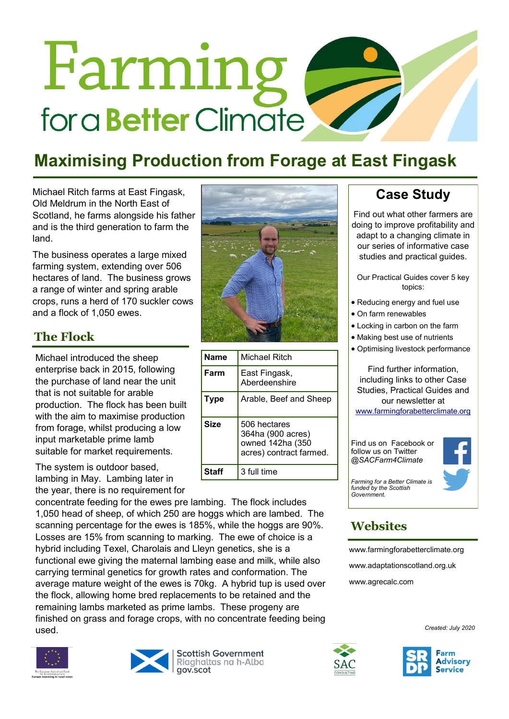# Farming for a **Better** Climate

## **Maximising Production from Forage at East Fingask**

Michael Ritch farms at East Fingask, Old Meldrum in the North East of Scotland, he farms alongside his father and is the third generation to farm the land.

The business operates a large mixed farming system, extending over 506 hectares of land. The business grows a range of winter and spring arable crops, runs a herd of 170 suckler cows and a flock of 1,050 ewes.

#### **The Flock**

Michael introduced the sheep enterprise back in 2015, following the purchase of land near the unit that is not suitable for arable production. The flock has been built with the aim to maximise production from forage, whilst producing a low input marketable prime lamb suitable for market requirements.

The system is outdoor based, lambing in May. Lambing later in the year, there is no requirement for

concentrate feeding for the ewes pre lambing. The flock includes 1,050 head of sheep, of which 250 are hoggs which are lambed. The scanning percentage for the ewes is 185%, while the hoggs are 90%. Losses are 15% from scanning to marking. The ewe of choice is a hybrid including Texel, Charolais and Lleyn genetics, she is a functional ewe giving the maternal lambing ease and milk, while also carrying terminal genetics for growth rates and conformation. The average mature weight of the ewes is 70kg. A hybrid tup is used over the flock, allowing home bred replacements to be retained and the remaining lambs marketed as prime lambs. These progeny are finished on grass and forage crops, with no concentrate feeding being used.





**Scottish Government** Riaghaltas na h-Alba gov.scot



| <b>Name</b> | Michael Ritch                                                                    |
|-------------|----------------------------------------------------------------------------------|
| Farm        | East Fingask,<br>Aberdeenshire                                                   |
| Type        | Arable, Beef and Sheep                                                           |
| <b>Size</b> | 506 hectares<br>364ha (900 acres)<br>owned 142ha (350<br>acres) contract farmed. |
| Staff       | 3 full time                                                                      |

**Case Study**

Find out what other farmers are doing to improve profitability and adapt to a changing climate in our series of informative case studies and practical guides.

Our Practical Guides cover 5 key topics:

- Reducing energy and fuel use
- On farm renewables
- Locking in carbon on the farm
- Making best use of nutrients
- Optimising livestock performance

Find further information, including links to other Case Studies, Practical Guides and our newsletter at [www.farmingforabetterclimate.org](http://www.farmingforabetterclimate.org)

Find us on Facebook or follow us on Twitter *@SACFarm4Climate* 



*Farming for a Better Climate is funded by the Scottish Government.*

### **Websites**

[www.farmingforabetterclimate.org](http://www.farmingforabetterclimate.org) [www.adaptationscotland.org.uk](http://www.adaptationscotland.org.uk/1/1/0/Home.aspx) [www.agrecalc.com](http://www.agrecalc.com)

*Created: July 2020*